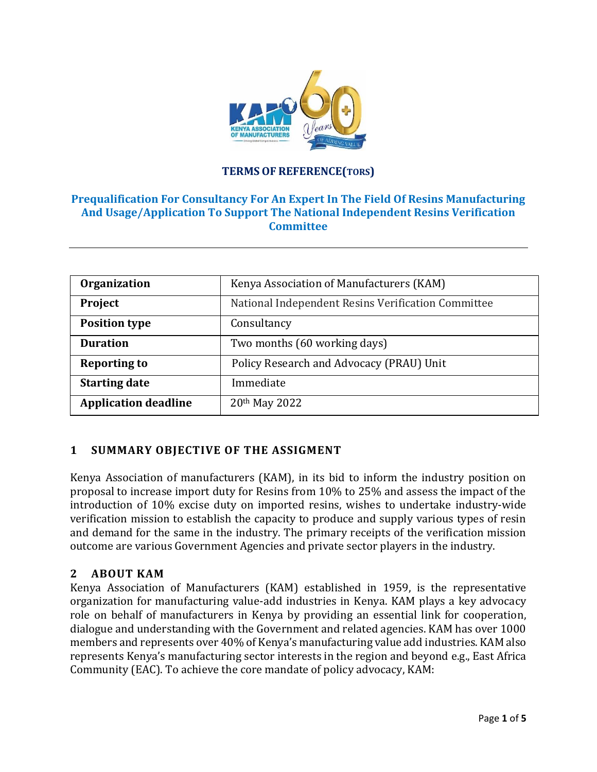

## **TERMSOF REFERENCE(TORS)**

## **Prequalification For Consultancy For An Expert In The Field Of Resins Manufacturing And Usage/Application To Support The National Independent Resins Verification Committee**

| <b>Organization</b>         | Kenya Association of Manufacturers (KAM)           |  |
|-----------------------------|----------------------------------------------------|--|
| Project                     | National Independent Resins Verification Committee |  |
| <b>Position type</b>        | Consultancy                                        |  |
| <b>Duration</b>             | Two months (60 working days)                       |  |
| <b>Reporting to</b>         | Policy Research and Advocacy (PRAU) Unit           |  |
| <b>Starting date</b>        | Immediate                                          |  |
| <b>Application deadline</b> | 20th May 2022                                      |  |

# **1 SUMMARY OBJECTIVE OF THE ASSIGMENT**

Kenya Association of manufacturers (KAM), in its bid to inform the industry position on proposal to increase import duty for Resins from 10% to 25% and assess the impact of the introduction of 10% excise duty on imported resins, wishes to undertake industry-wide verification mission to establish the capacity to produce and supply various types of resin and demand for the same in the industry. The primary receipts of the verification mission outcome are various Government Agencies and private sector players in the industry.

### **2 ABOUT KAM**

Kenya Association of Manufacturers (KAM) established in 1959, is the representative organization for manufacturing value-add industries in Kenya. KAM plays a key advocacy role on behalf of manufacturers in Kenya by providing an essential link for cooperation, dialogue and understanding with the Government and related agencies. KAM has over 1000 members and represents over 40% of Kenya's manufacturing value add industries. KAM also represents Kenya's manufacturing sector interests in the region and beyond e.g., East Africa Community (EAC). To achieve the core mandate of policy advocacy, KAM: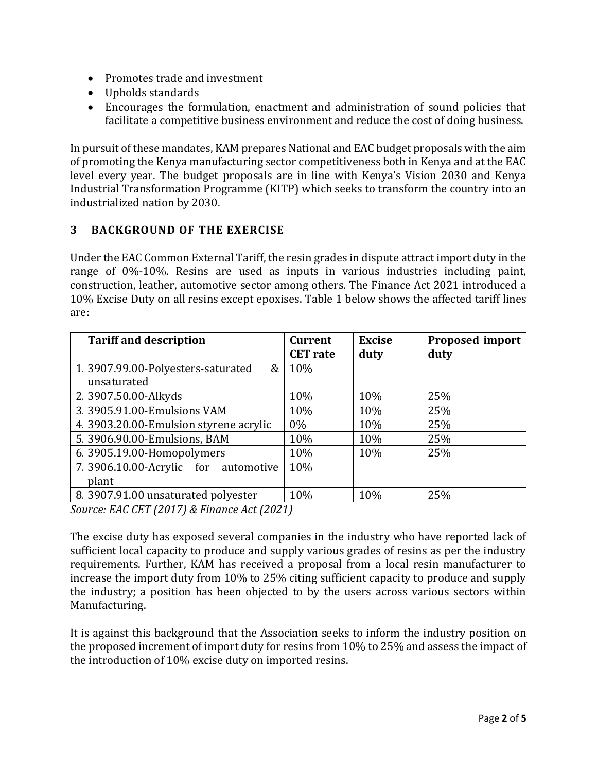- Promotes trade and investment
- Upholds standards
- Encourages the formulation, enactment and administration of sound policies that facilitate a competitive business environment and reduce the cost of doing business.

In pursuit of these mandates, KAM prepares National and EAC budget proposals with the aim of promoting the Kenya manufacturing sector competitiveness both in Kenya and at the EAC level every year. The budget proposals are in line with Kenya's Vision 2030 and Kenya Industrial Transformation Programme (KITP) which seeks to transform the country into an industrialized nation by 2030.

## **3 BACKGROUND OF THE EXERCISE**

Under the EAC Common External Tariff, the resin grades in dispute attract import duty in the range of 0%-10%. Resins are used as inputs in various industries including paint, construction, leather, automotive sector among others. The Finance Act 2021 introduced a 10% Excise Duty on all resins except epoxises. Table 1 below shows the affected tariff lines are:

|            | <b>Tariff and description</b>        | <b>Current</b><br><b>CET</b> rate | <b>Excise</b><br>duty | Proposed import<br>duty |  |
|------------|--------------------------------------|-----------------------------------|-----------------------|-------------------------|--|
|            | 3907.99.00-Polyesters-saturated<br>& | 10%                               |                       |                         |  |
|            | unsaturated                          |                                   |                       |                         |  |
|            | 3907.50.00-Alkyds                    | 10%                               | 10%                   | 25%                     |  |
| 3          | 3905.91.00-Emulsions VAM             | 10%                               | 10%                   | 25%                     |  |
|            | 3903.20.00-Emulsion styrene acrylic  | $0\%$                             | 10%                   | 25%                     |  |
| 5          | 3906.90.00-Emulsions, BAM            | 10%                               | 10%                   | 25%                     |  |
| 6          | 3905.19.00-Homopolymers              | 10%                               | 10%                   | 25%                     |  |
|            | 3906.10.00-Acrylic for automotive    | 10%                               |                       |                         |  |
|            | plant                                |                                   |                       |                         |  |
|            | 8 3907.91.00 unsaturated polyester   | 10%                               | 10%                   | 25%                     |  |
| $\sqrt{ }$ |                                      |                                   |                       |                         |  |

*Source: EAC CET (2017) & Finance Act (2021)*

The excise duty has exposed several companies in the industry who have reported lack of sufficient local capacity to produce and supply various grades of resins as per the industry requirements. Further, KAM has received a proposal from a local resin manufacturer to increase the import duty from 10% to 25% citing sufficient capacity to produce and supply the industry; a position has been objected to by the users across various sectors within Manufacturing.

It is against this background that the Association seeks to inform the industry position on the proposed increment of import duty for resins from 10% to 25% and assess the impact of the introduction of 10% excise duty on imported resins.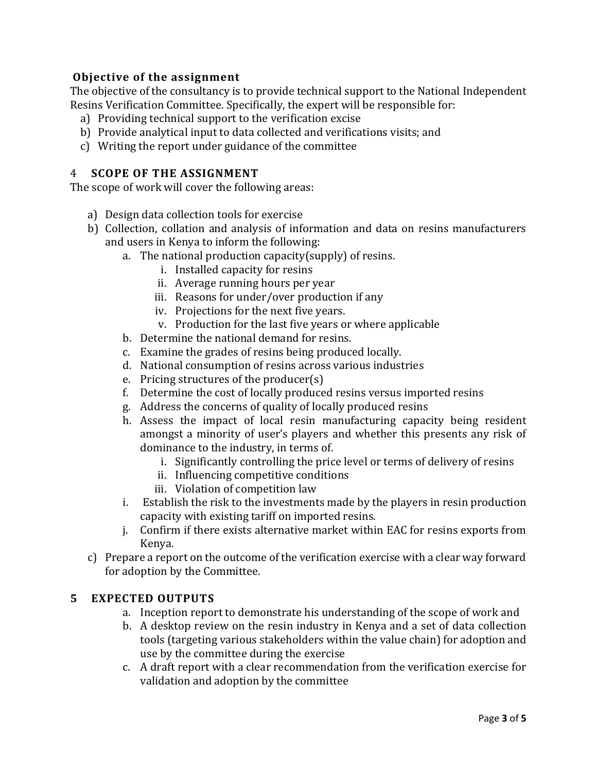## **Objective of the assignment**

The objective of the consultancy is to provide technical support to the National Independent Resins Verification Committee. Specifically, the expert will be responsible for:

- a) Providing technical support to the verification excise
- b) Provide analytical input to data collected and verifications visits; and
- c) Writing the report under guidance of the committee

### 4 **SCOPE OF THE ASSIGNMENT**

The scope of work will cover the following areas:

- a) Design data collection tools for exercise
- b) Collection, collation and analysis of information and data on resins manufacturers and users in Kenya to inform the following:
	- a. The national production capacity(supply) of resins.
		- i. Installed capacity for resins
		- ii. Average running hours per year
		- iii. Reasons for under/over production if any
		- iv. Projections for the next five years.
		- v. Production for the last five years or where applicable
	- b. Determine the national demand for resins.
	- c. Examine the grades of resins being produced locally.
	- d. National consumption of resins across various industries
	- e. Pricing structures of the producer(s)
	- f. Determine the cost of locally produced resins versus imported resins
	- g. Address the concerns of quality of locally produced resins
	- h. Assess the impact of local resin manufacturing capacity being resident amongst a minority of user's players and whether this presents any risk of dominance to the industry, in terms of.
		- i. Significantly controlling the price level or terms of delivery of resins
		- ii. Influencing competitive conditions
		- iii. Violation of competition law
	- i. Establish the risk to the investments made by the players in resin production capacity with existing tariff on imported resins.
	- j. Confirm if there exists alternative market within EAC for resins exports from Kenya.
- c) Prepare a report on the outcome of the verification exercise with a clear way forward for adoption by the Committee.

### **5 EXPECTED OUTPUTS**

- a. Inception report to demonstrate his understanding of the scope of work and
- b. A desktop review on the resin industry in Kenya and a set of data collection tools (targeting various stakeholders within the value chain) for adoption and use by the committee during the exercise
- c. A draft report with a clear recommendation from the verification exercise for validation and adoption by the committee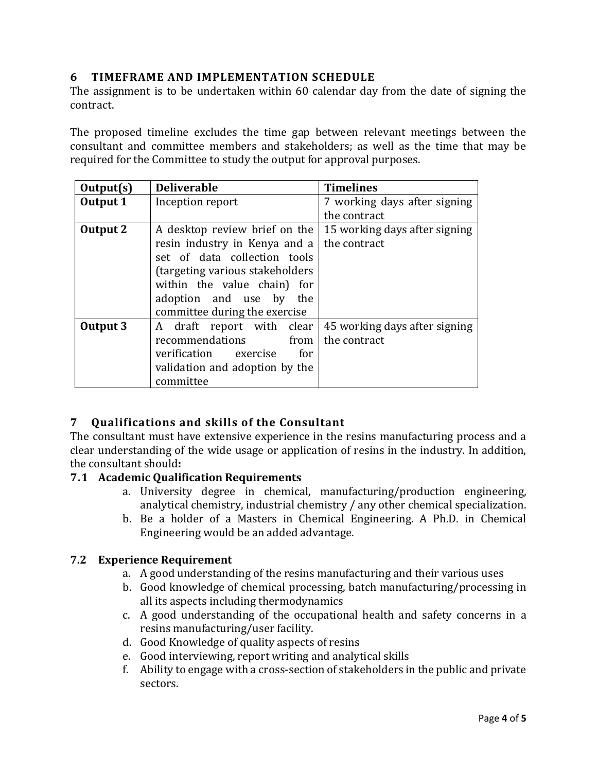## **6 TIMEFRAME AND IMPLEMENTATION SCHEDULE**

The assignment is to be undertaken within 60 calendar day from the date of signing the contract.

The proposed timeline excludes the time gap between relevant meetings between the consultant and committee members and stakeholders; as well as the time that may be required for the Committee to study the output for approval purposes.

| Output(s)       | <b>Deliverable</b>              | <b>Timelines</b>              |  |
|-----------------|---------------------------------|-------------------------------|--|
| <b>Output 1</b> | Inception report                | 7 working days after signing  |  |
|                 |                                 | the contract                  |  |
| Output 2        | A desktop review brief on the   | 15 working days after signing |  |
|                 | resin industry in Kenya and a   | the contract                  |  |
|                 | set of data collection tools    |                               |  |
|                 | (targeting various stakeholders |                               |  |
|                 | within the value chain) for     |                               |  |
|                 | adoption and use by the         |                               |  |
|                 | committee during the exercise   |                               |  |
| Output 3        | A draft report with clear       | 45 working days after signing |  |
|                 | recommendations<br>from         | the contract                  |  |
|                 | verification exercise for       |                               |  |
|                 | validation and adoption by the  |                               |  |
|                 | committee                       |                               |  |

# **7 Qualifications and skills of the Consultant**

The consultant must have extensive experience in the resins manufacturing process and a clear understanding of the wide usage or application of resins in the industry. In addition, the consultant should**:**

### **7.1 Academic Qualification Requirements**

- a. University degree in chemical, manufacturing/production engineering, analytical chemistry, industrial chemistry / any other chemical specialization.
- b. Be a holder of a Masters in Chemical Engineering. A Ph.D. in Chemical Engineering would be an added advantage.

### **7.2 Experience Requirement**

- a. A good understanding of the resins manufacturing and their various uses
- b. Good knowledge of chemical processing, batch manufacturing/processing in all its aspects including thermodynamics
- c. A good understanding of the occupational health and safety concerns in a resins manufacturing/user facility.
- d. Good Knowledge of quality aspects of resins
- e. Good interviewing, report writing and analytical skills
- f. Ability to engage with a cross-section of stakeholders in the public and private sectors.